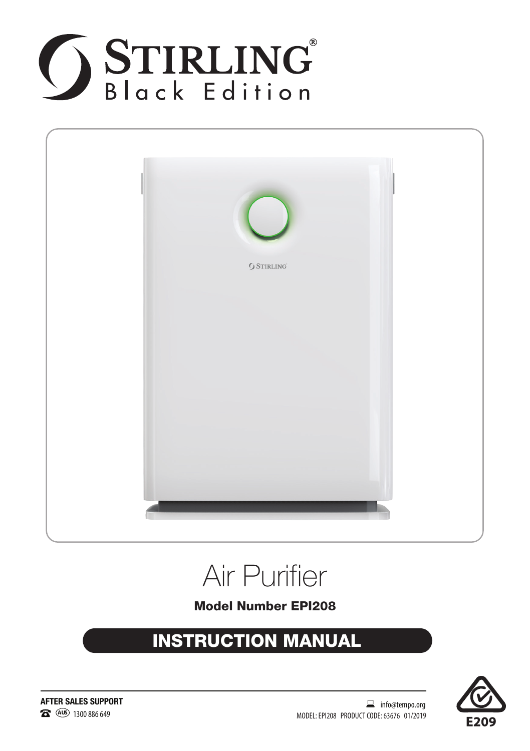





Model Number EPI208

### INSTRUCTION MANUAL



**AFTER SALES SUPPORT** 2<sup>3</sup> (AUS) 1300 886 649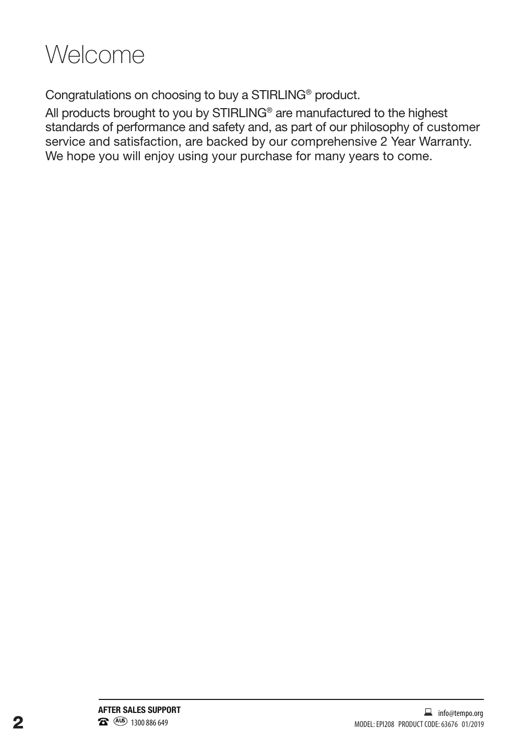

Congratulations on choosing to buy a STIRLING® product.

All products brought to you by STIRLING® are manufactured to the highest standards of performance and safety and, as part of our philosophy of customer service and satisfaction, are backed by our comprehensive 2 Year Warranty. We hope you will enjoy using your purchase for many years to come.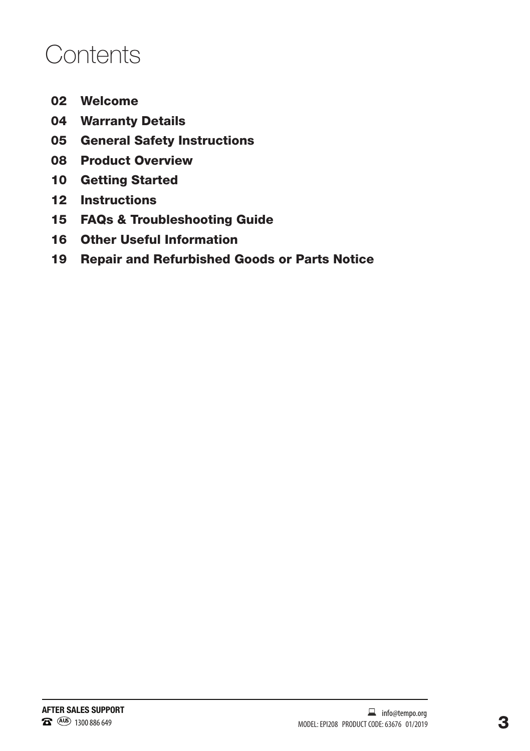### **Contents**

- Welcome
- Warranty Details
- General Safety Instructions
- Product Overview
- Getting Started
- Instructions
- FAQs & Troubleshooting Guide
- Other Useful Information
- Repair and Refurbished Goods or Parts Notice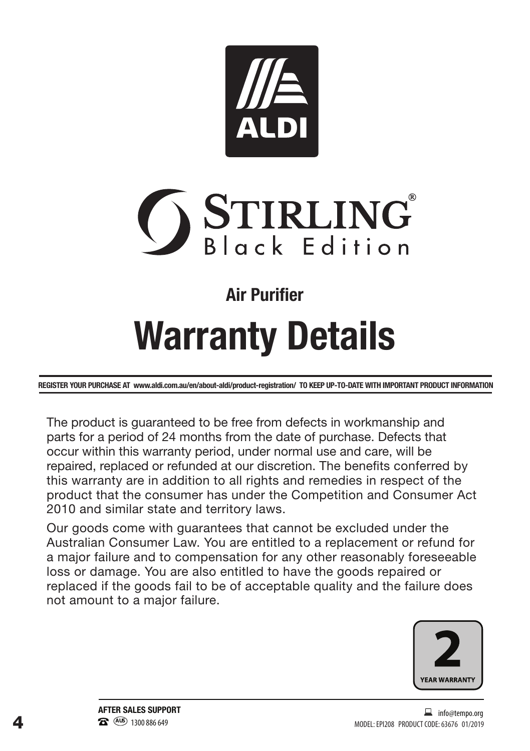



### **Air Purifier**

# **Warranty Details**

REGISTER YOUR PURCHASE AT www.aldi.com.au/en/about-aldi/product-registration/ TO KEEP UP-TO-DATE WITH IMPORTANT PRODUCT INFORMATION

The product is guaranteed to be free from defects in workmanship and parts for a period of 24 months from the date of purchase. Defects that occur within this warranty period, under normal use and care, will be repaired, replaced or refunded at our discretion. The benefits conferred by this warranty are in addition to all rights and remedies in respect of the product that the consumer has under the Competition and Consumer Act 2010 and similar state and territory laws.

Our goods come with guarantees that cannot be excluded under the Australian Consumer Law. You are entitled to a replacement or refund for a major failure and to compensation for any other reasonably foreseeable loss or damage. You are also entitled to have the goods repaired or replaced if the goods fail to be of acceptable quality and the failure does not amount to a major failure.

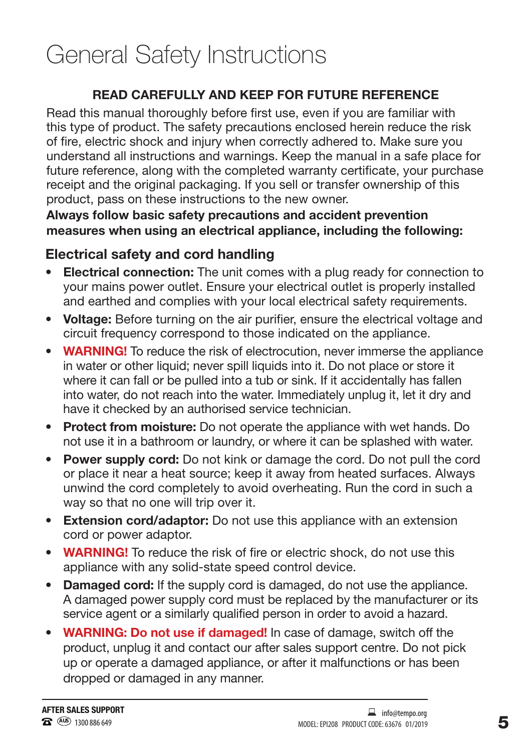### General Safety Instructions

#### **READ CAREFULLY AND KEEP FOR FUTURE REFERENCE**

Read this manual thoroughly before first use, even if you are familiar with this type of product. The safety precautions enclosed herein reduce the risk of fire, electric shock and injury when correctly adhered to. Make sure you understand all instructions and warnings. Keep the manual in a safe place for future reference, along with the completed warranty certificate, your purchase receipt and the original packaging. If you sell or transfer ownership of this product, pass on these instructions to the new owner.

#### Always follow basic safety precautions and accident prevention measures when using an electrical appliance, including the following:

#### Electrical safety and cord handling

- **Electrical connection:** The unit comes with a plug ready for connection to your mains power outlet. Ensure your electrical outlet is properly installed and earthed and complies with your local electrical safety requirements.
- Voltage: Before turning on the air purifier, ensure the electrical voltage and circuit frequency correspond to those indicated on the appliance.
- WARNING! To reduce the risk of electrocution, never immerse the appliance in water or other liquid; never spill liquids into it. Do not place or store it where it can fall or be pulled into a tub or sink. If it accidentally has fallen into water, do not reach into the water. Immediately unplug it, let it dry and have it checked by an authorised service technician.
- **Protect from moisture:** Do not operate the appliance with wet hands. Do not use it in a bathroom or laundry, or where it can be splashed with water.
- Power supply cord: Do not kink or damage the cord. Do not pull the cord or place it near a heat source; keep it away from heated surfaces. Always unwind the cord completely to avoid overheating. Run the cord in such a way so that no one will trip over it.
- Extension cord/adaptor: Do not use this appliance with an extension cord or power adaptor.
- **WARNING!** To reduce the risk of fire or electric shock, do not use this appliance with any solid-state speed control device.
- Damaged cord: If the supply cord is damaged, do not use the appliance. A damaged power supply cord must be replaced by the manufacturer or its service agent or a similarly qualified person in order to avoid a hazard.
- WARNING: Do not use if damaged! In case of damage, switch off the product, unplug it and contact our after sales support centre. Do not pick up or operate a damaged appliance, or after it malfunctions or has been dropped or damaged in any manner.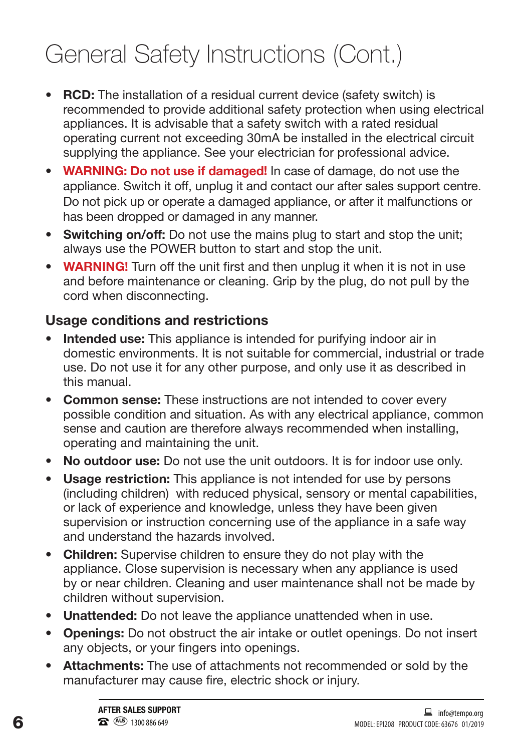### General Safety Instructions (Cont.)

- **RCD:** The installation of a residual current device (safety switch) is recommended to provide additional safety protection when using electrical appliances. It is advisable that a safety switch with a rated residual operating current not exceeding 30mA be installed in the electrical circuit supplying the appliance. See your electrician for professional advice.
- WARNING: Do not use if damaged! In case of damage, do not use the appliance. Switch it off, unplug it and contact our after sales support centre. Do not pick up or operate a damaged appliance, or after it malfunctions or has been dropped or damaged in any manner.
- Switching on/off: Do not use the mains plug to start and stop the unit; always use the POWER button to start and stop the unit.
- WARNING! Turn off the unit first and then unplug it when it is not in use and before maintenance or cleaning. Grip by the plug, do not pull by the cord when disconnecting.

#### Usage conditions and restrictions

- Intended use: This appliance is intended for purifying indoor air in domestic environments. It is not suitable for commercial, industrial or trade use. Do not use it for any other purpose, and only use it as described in this manual.
- Common sense: These instructions are not intended to cover every possible condition and situation. As with any electrical appliance, common sense and caution are therefore always recommended when installing, operating and maintaining the unit.
- No outdoor use: Do not use the unit outdoors. It is for indoor use only.
- Usage restriction: This appliance is not intended for use by persons (including children) with reduced physical, sensory or mental capabilities, or lack of experience and knowledge, unless they have been given supervision or instruction concerning use of the appliance in a safe way and understand the hazards involved.
- Children: Supervise children to ensure they do not play with the appliance. Close supervision is necessary when any appliance is used by or near children. Cleaning and user maintenance shall not be made by children without supervision.
- **• Unattended:** Do not leave the appliance unattended when in use.
- **Openings:** Do not obstruct the air intake or outlet openings. Do not insert any objects, or your fingers into openings.
- **Attachments:** The use of attachments not recommended or sold by the manufacturer may cause fire, electric shock or injury.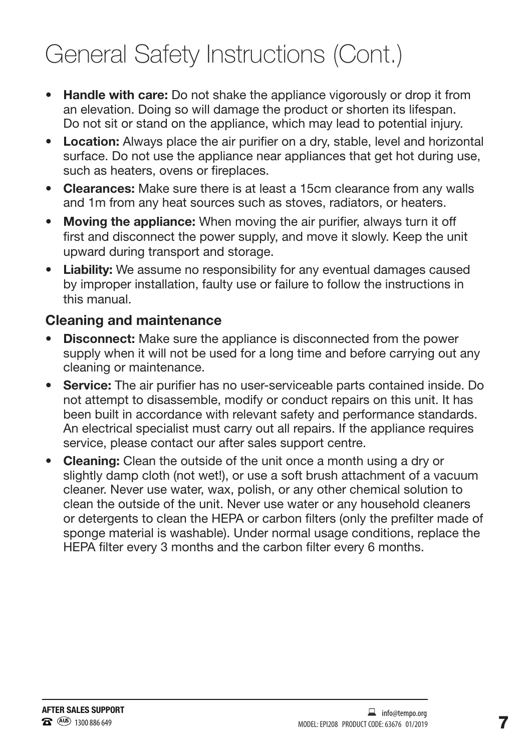### General Safety Instructions (Cont.)

- **Handle with care:** Do not shake the appliance vigorously or drop it from an elevation. Doing so will damage the product or shorten its lifespan. Do not sit or stand on the appliance, which may lead to potential injury.
- **Location:** Always place the air purifier on a dry, stable, level and horizontal surface. Do not use the appliance near appliances that get hot during use, such as heaters, ovens or fireplaces.
- **Clearances:** Make sure there is at least a 15cm clearance from any walls and 1m from any heat sources such as stoves, radiators, or heaters.
- Moving the appliance: When moving the air purifier, always turn it off first and disconnect the power supply, and move it slowly. Keep the unit upward during transport and storage.
- **Liability:** We assume no responsibility for any eventual damages caused by improper installation, faulty use or failure to follow the instructions in this manual.

#### Cleaning and maintenance

- Disconnect: Make sure the appliance is disconnected from the power supply when it will not be used for a long time and before carrying out any cleaning or maintenance.
- **Service:** The air purifier has no user-serviceable parts contained inside. Do not attempt to disassemble, modify or conduct repairs on this unit. It has been built in accordance with relevant safety and performance standards. An electrical specialist must carry out all repairs. If the appliance requires service, please contact our after sales support centre.
- **Cleaning:** Clean the outside of the unit once a month using a dry or slightly damp cloth (not wet!), or use a soft brush attachment of a vacuum cleaner. Never use water, wax, polish, or any other chemical solution to clean the outside of the unit. Never use water or any household cleaners or detergents to clean the HEPA or carbon filters (only the prefilter made of sponge material is washable). Under normal usage conditions, replace the HEPA filter every 3 months and the carbon filter every 6 months.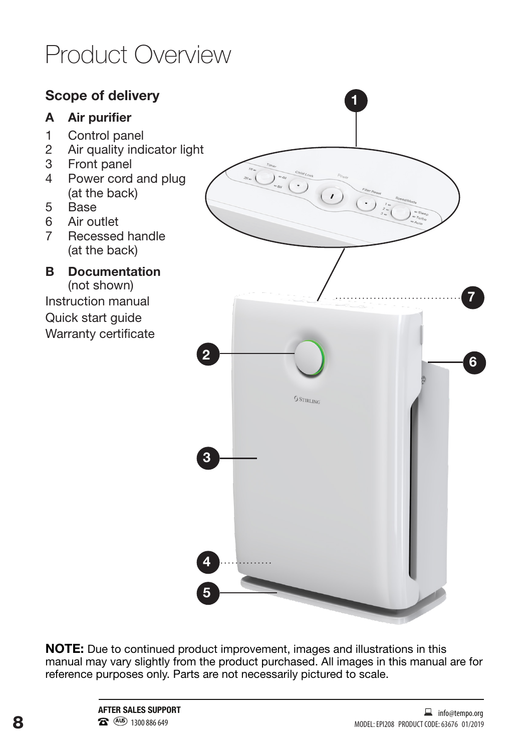### Product Overview

### **Scope of delivery 1 A Air purifier** 1 Control panel 2 Air quality indicator light 3 Front panel<br>4 Power cord  $\begin{picture}(120,110) \put(10,10){\line(1,0){10}} \put(10,10){\line(1,0){10}} \put(10,10){\line(1,0){10}} \put(10,10){\line(1,0){10}} \put(10,10){\line(1,0){10}} \put(10,10){\line(1,0){10}} \put(10,10){\line(1,0){10}} \put(10,10){\line(1,0){10}} \put(10,10){\line(1,0){10}} \put(10,10){\line(1,0){10}} \put(10,10){\line(1,0){1$ Power cord and plug Powerhouse Special Account (at the back) 5 Base 6 Air outlet<br>7 Becesser Recessed handle (at the back) **B** Documentation (not shown) **7** Instruction manual Quick start guide Warranty certificate **<sup>6</sup> <sup>2</sup> S** STIRLING **3 4 5**

**NOTE:** Due to continued product improvement, images and illustrations in this manual may vary slightly from the product purchased. All images in this manual are for reference purposes only. Parts are not necessarily pictured to scale.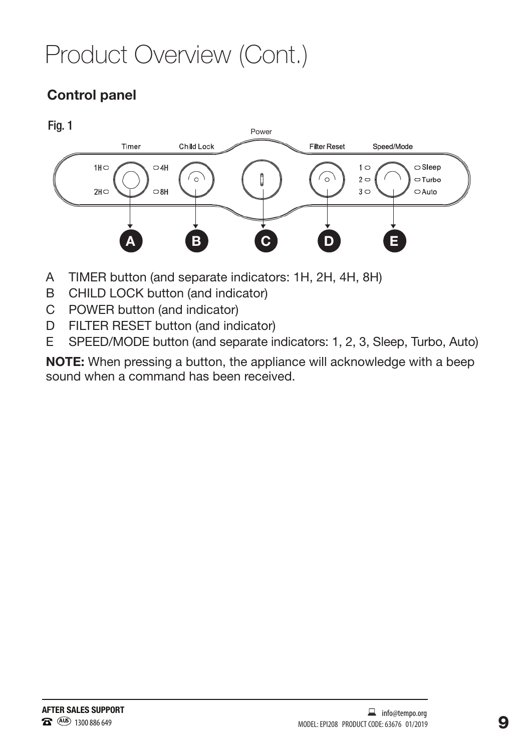# Product Overview (Cont.)

### Control panel





- A TIMER button (and separate indicators: 1H, 2H, 4H, 8H)
- B CHILD LOCK button (and indicator)
- C POWER button (and indicator)
- D FILTER RESET button (and indicator)
- E SPEED/MODE button (and separate indicators: 1, 2, 3, Sleep, Turbo, Auto)

**NOTE:** When pressing a button, the appliance will acknowledge with a beep sound when a command has been received.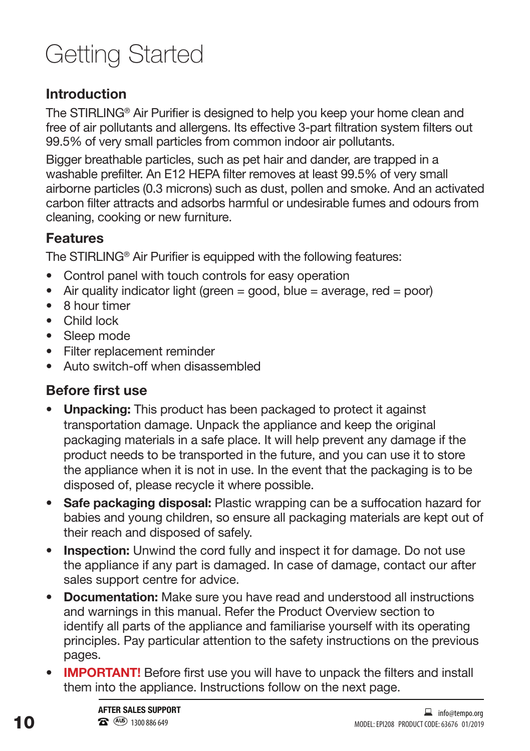## Getting Started

### Introduction

The STIRLING® Air Purifier is designed to help you keep your home clean and free of air pollutants and allergens. Its effective 3-part filtration system filters out 99.5% of very small particles from common indoor air pollutants.

Bigger breathable particles, such as pet hair and dander, are trapped in a washable prefilter. An E12 HEPA filter removes at least 99.5% of very small airborne particles (0.3 microns) such as dust, pollen and smoke. And an activated carbon filter attracts and adsorbs harmful or undesirable fumes and odours from cleaning, cooking or new furniture.

### **Features**

The STIRLING® Air Purifier is equipped with the following features:

- Control panel with touch controls for easy operation
- Air quality indicator light (green  $=$  good, blue  $=$  average, red  $=$  poor)
- 8 hour timer
- Child lock
- Sleep mode
- Filter replacement reminder
- Auto switch-off when disassembled

### **Before first use**

- **• Unpacking:** This product has been packaged to protect it against transportation damage. Unpack the appliance and keep the original packaging materials in a safe place. It will help prevent any damage if the product needs to be transported in the future, and you can use it to store the appliance when it is not in use. In the event that the packaging is to be disposed of, please recycle it where possible.
- **• Safe packaging disposal:** Plastic wrapping can be a suffocation hazard for babies and young children, so ensure all packaging materials are kept out of their reach and disposed of safely.
- **Inspection:** Unwind the cord fully and inspect it for damage. Do not use the appliance if any part is damaged. In case of damage, contact our after sales support centre for advice.
- **• Documentation:** Make sure you have read and understood all instructions and warnings in this manual. Refer the Product Overview section to identify all parts of the appliance and familiarise yourself with its operating principles. Pay particular attention to the safety instructions on the previous pages.
- **• IMPORTANT!** Before first use you will have to unpack the filters and install them into the appliance. Instructions follow on the next page.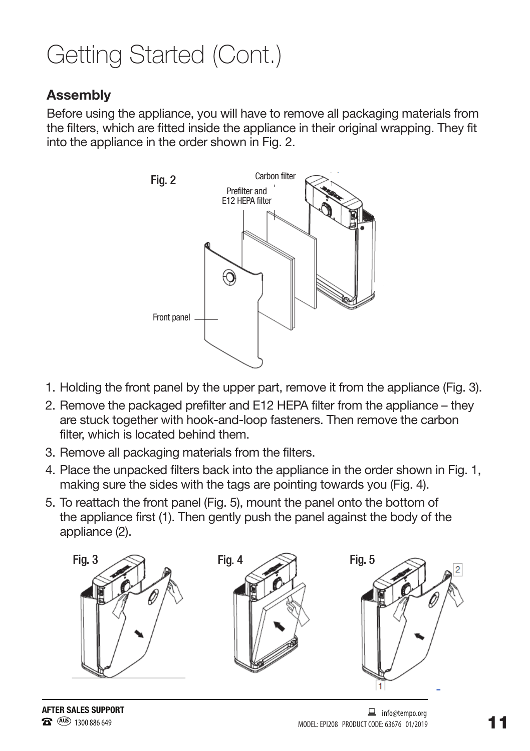### Getting Started (Cont.)

#### Assembly

Before using the appliance, you will have to remove all packaging materials from the filters, which are fitted inside the appliance in their original wrapping. They fit into the appliance in the order shown in Fig. 2.



- 1. Holding the front panel by the upper part, remove it from the appliance (Fig. 3).
- 2. Remove the packaged prefilter and E12 HEPA filter from the appliance they are stuck together with hook-and-loop fasteners. Then remove the carbon filter, which is located behind them.
- 3. Remove all packaging materials from the filters.
- 4. Place the unpacked filters back into the appliance in the order shown in Fig. 1, making sure the sides with the tags are pointing towards you (Fig. 4).
- 5. To reattach the front panel (Fig. 5), mount the panel onto the bottom of the appliance first (1). Then gently push the panel against the body of the appliance (2).

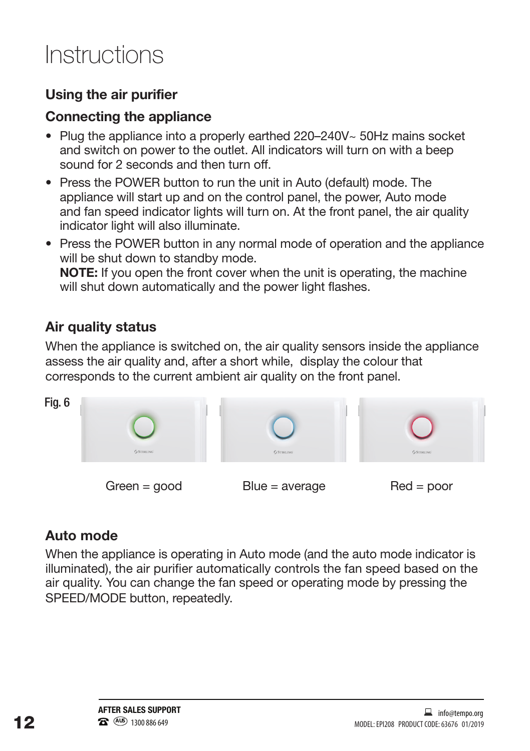### Instructions

### Using the air purifier

#### Connecting the appliance

- Plug the appliance into a properly earthed 220–240V~ 50Hz mains socket and switch on power to the outlet. All indicators will turn on with a beep sound for 2 seconds and then turn off.
- Press the POWER button to run the unit in Auto (default) mode. The appliance will start up and on the control panel, the power, Auto mode and fan speed indicator lights will turn on. At the front panel, the air quality indicator light will also illuminate.
- Press the POWER button in any normal mode of operation and the appliance will be shut down to standby mode. **NOTE:** If you open the front cover when the unit is operating, the machine will shut down automatically and the power light flashes.

### Air quality status

When the appliance is switched on, the air quality sensors inside the appliance assess the air quality and, after a short while, display the colour that corresponds to the current ambient air quality on the front panel.



### Auto mode

When the appliance is operating in Auto mode (and the auto mode indicator is illuminated), the air purifier automatically controls the fan speed based on the air quality. You can change the fan speed or operating mode by pressing the SPEED/MODE button, repeatedly.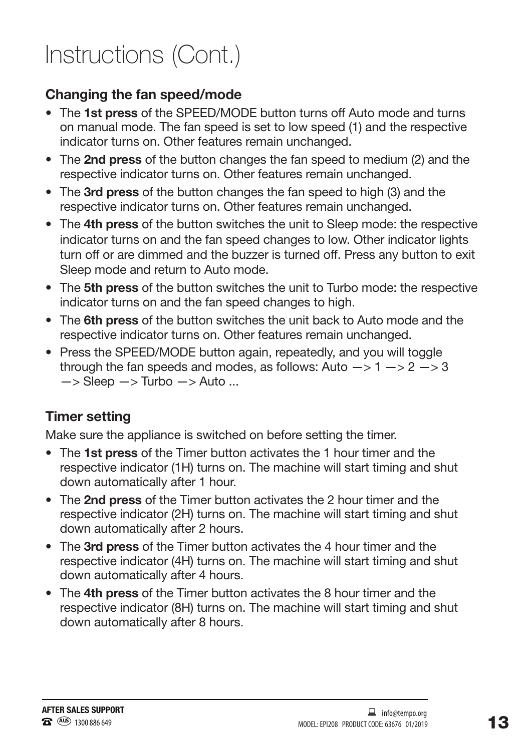### Instructions (Cont.)

### Changing the fan speed/mode

- The **1st press** of the SPEED/MODE button turns off Auto mode and turns on manual mode. The fan speed is set to low speed (1) and the respective indicator turns on. Other features remain unchanged.
- The **2nd press** of the button changes the fan speed to medium (2) and the respective indicator turns on. Other features remain unchanged.
- The **3rd press** of the button changes the fan speed to high (3) and the respective indicator turns on. Other features remain unchanged.
- The **4th press** of the button switches the unit to Sleep mode: the respective indicator turns on and the fan speed changes to low. Other indicator lights turn off or are dimmed and the buzzer is turned off. Press any button to exit Sleep mode and return to Auto mode.
- The **5th press** of the button switches the unit to Turbo mode: the respective indicator turns on and the fan speed changes to high.
- The **6th press** of the button switches the unit back to Auto mode and the respective indicator turns on. Other features remain unchanged.
- Press the SPEED/MODE button again, repeatedly, and you will toggle through the fan speeds and modes, as follows: Auto  $-$  > 1  $-$  > 2  $-$  > 3  $\Rightarrow$  Sleep  $\Rightarrow$  Turbo  $\Rightarrow$  Auto ...

### Timer setting

Make sure the appliance is switched on before setting the timer.

- The **1st press** of the Timer button activates the 1 hour timer and the respective indicator (1H) turns on. The machine will start timing and shut down automatically after 1 hour.
- The **2nd press** of the Timer button activates the 2 hour timer and the respective indicator (2H) turns on. The machine will start timing and shut down automatically after 2 hours.
- The **3rd press** of the Timer button activates the 4 hour timer and the respective indicator (4H) turns on. The machine will start timing and shut down automatically after 4 hours.
- The **4th press** of the Timer button activates the 8 hour timer and the respective indicator (8H) turns on. The machine will start timing and shut down automatically after 8 hours.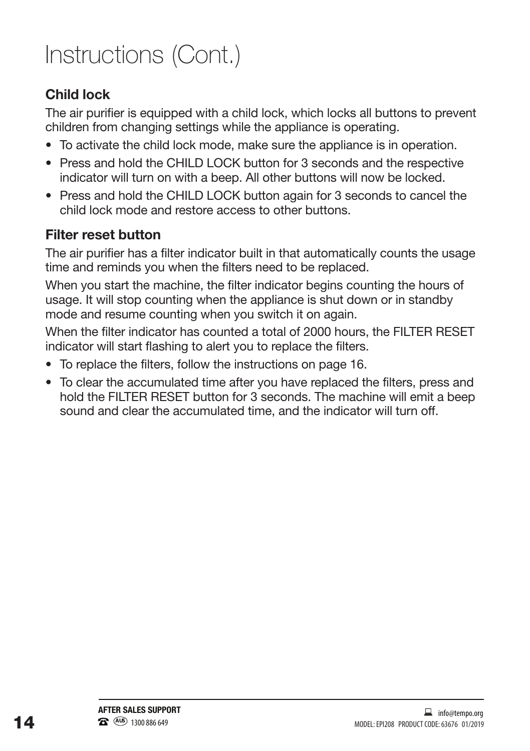# Instructions (Cont.)

### Child lock

The air purifier is equipped with a child lock, which locks all buttons to prevent children from changing settings while the appliance is operating.

- To activate the child lock mode, make sure the appliance is in operation.
- Press and hold the CHILD LOCK button for 3 seconds and the respective indicator will turn on with a beep. All other buttons will now be locked.
- Press and hold the CHILD LOCK button again for 3 seconds to cancel the child lock mode and restore access to other buttons.

### Filter reset button

The air purifier has a filter indicator built in that automatically counts the usage time and reminds you when the filters need to be replaced.

When you start the machine, the filter indicator begins counting the hours of usage. It will stop counting when the appliance is shut down or in standby mode and resume counting when you switch it on again.

When the filter indicator has counted a total of 2000 hours, the FILTER RESET indicator will start flashing to alert you to replace the filters.

- To replace the filters, follow the instructions on page 16.
- To clear the accumulated time after you have replaced the filters, press and hold the FILTER RESET button for 3 seconds. The machine will emit a beep sound and clear the accumulated time, and the indicator will turn off.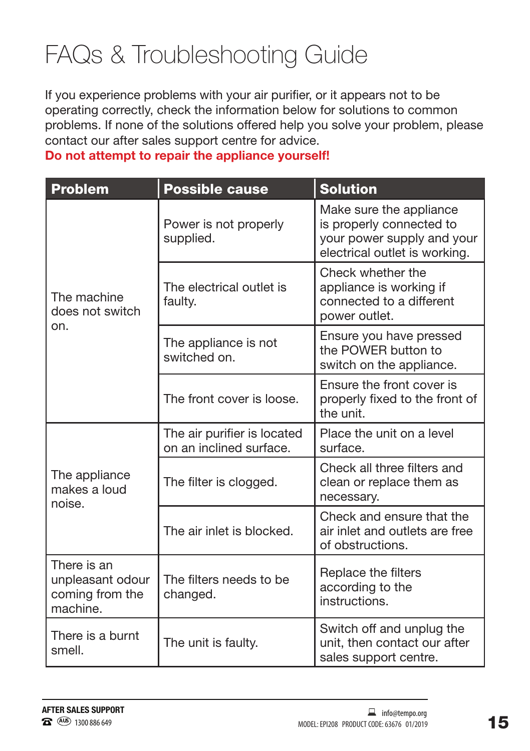## FAQs & Troubleshooting Guide

If you experience problems with your air purifier, or it appears not to be operating correctly, check the information below for solutions to common problems. If none of the solutions offered help you solve your problem, please contact our after sales support centre for advice.

Do not attempt to repair the appliance yourself!

| <b>Problem</b>                                                                                        | <b>Possible cause</b>                                  | <b>Solution</b>                                                                                                    |
|-------------------------------------------------------------------------------------------------------|--------------------------------------------------------|--------------------------------------------------------------------------------------------------------------------|
| The machine<br>does not switch<br>on.                                                                 | Power is not properly<br>supplied.                     | Make sure the appliance<br>is properly connected to<br>your power supply and your<br>electrical outlet is working. |
|                                                                                                       | The electrical outlet is<br>faulty.                    | Check whether the<br>appliance is working if<br>connected to a different<br>power outlet.                          |
|                                                                                                       | The appliance is not<br>switched on.                   | Ensure you have pressed<br>the POWER button to<br>switch on the appliance.                                         |
|                                                                                                       | The front cover is loose.                              | Ensure the front cover is<br>properly fixed to the front of<br>the unit.                                           |
| The appliance<br>makes a loud<br>noise.                                                               | The air purifier is located<br>on an inclined surface. | Place the unit on a level<br>surface.                                                                              |
|                                                                                                       | The filter is clogged.                                 | Check all three filters and<br>clean or replace them as<br>necessary.                                              |
|                                                                                                       | The air inlet is blocked.                              | Check and ensure that the<br>air inlet and outlets are free<br>of obstructions.                                    |
| There is an<br>unpleasant odour<br>The filters needs to be<br>coming from the<br>changed.<br>machine. |                                                        | Replace the filters<br>according to the<br>instructions.                                                           |
| There is a burnt<br>The unit is faulty.<br>smell.                                                     |                                                        | Switch off and unplug the<br>unit, then contact our after<br>sales support centre.                                 |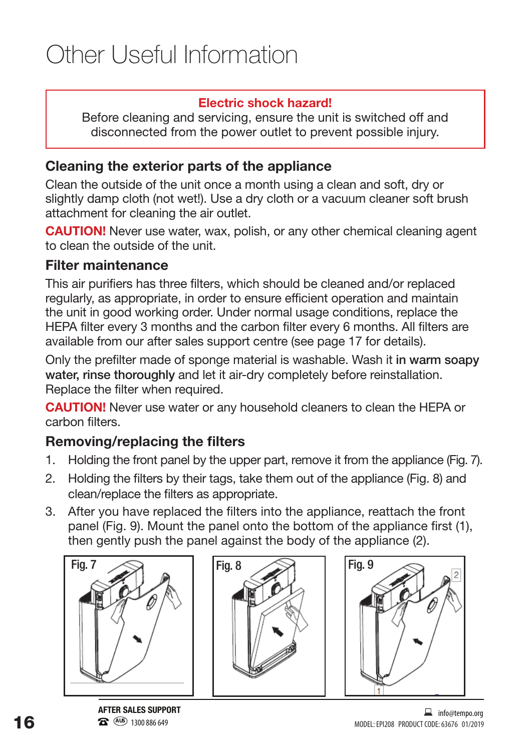#### Electric shock hazard!

Before cleaning and servicing, ensure the unit is switched off and disconnected from the power outlet to prevent possible injury.

### Cleaning the exterior parts of the appliance

Clean the outside of the unit once a month using a clean and soft, dry or slightly damp cloth (not wet!). Use a dry cloth or a vacuum cleaner soft brush attachment for cleaning the air outlet.

**CAUTION!** Never use water, wax, polish, or any other chemical cleaning agent to clean the outside of the unit.

#### Filter maintenance

This air purifiers has three filters, which should be cleaned and/or replaced regularly, as appropriate, in order to ensure efficient operation and maintain the unit in good working order. Under normal usage conditions, replace the HEPA filter every 3 months and the carbon filter every 6 months. All filters are available from our after sales support centre (see page 17 for details).

Only the prefilter made of sponge material is washable. Wash it in warm soapy water, rinse thoroughly and let it air-dry completely before reinstallation. Replace the filter when required.

**CAUTION!** Never use water or any household cleaners to clean the HEPA or carbon filters.

### Removing/replacing the filters

- 1. Holding the front panel by the upper part, remove it from the appliance (Fig. 7).
- 2. Holding the filters by their tags, take them out of the appliance (Fig. 8) and clean/replace the filters as appropriate.
- 3. After you have replaced the filters into the appliance, reattach the front panel (Fig. 9). Mount the panel onto the bottom of the appliance first (1), then gently push the panel against the body of the appliance (2).







**AFTER SALES SUPPORT 1300 886 649**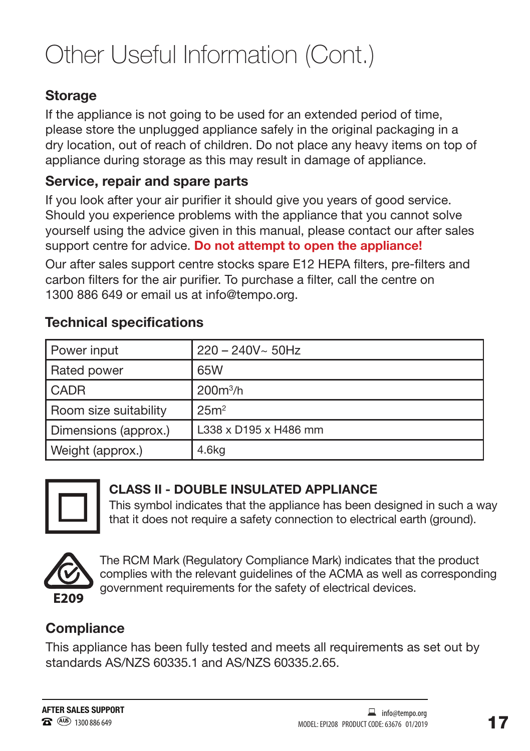# Other Useful Information (Cont.)

### **Storage**

If the appliance is not going to be used for an extended period of time, please store the unplugged appliance safely in the original packaging in a dry location, out of reach of children. Do not place any heavy items on top of appliance during storage as this may result in damage of appliance.

#### **Service, repair and spare parts**

If you look after your air purifier it should give you years of good service. Should you experience problems with the appliance that you cannot solve yourself using the advice given in this manual, please contact our after sales support centre for advice. **Do not attempt to open the appliance!**

Our after sales support centre stocks spare E12 HEPA filters, pre-filters and carbon filters for the air purifier. To purchase a filter, call the centre on 1300 886 649 or email us at info@tempo.org.

#### Technical specifications

| Power input           | $220 - 240V ~ 50Hz$   |  |
|-----------------------|-----------------------|--|
| Rated power           | 65W                   |  |
| <b>CADR</b>           | $200m^3/h$            |  |
| Room size suitability | 25m <sup>2</sup>      |  |
| Dimensions (approx.)  | L338 x D195 x H486 mm |  |
| Weight (approx.)      | 4.6kg                 |  |



#### **CLASS II - DOUBLE INSULATED APPLIANCE**

This symbol indicates that the appliance has been designed in such a way that it does not require a safety connection to electrical earth (ground).



The RCM Mark (Regulatory Compliance Mark) indicates that the product complies with the relevant guidelines of the ACMA as well as corresponding government requirements for the safety of electrical devices.

#### **Compliance**

This appliance has been fully tested and meets all requirements as set out by standards AS/NZS 60335.1 and AS/NZS 60335.2.65.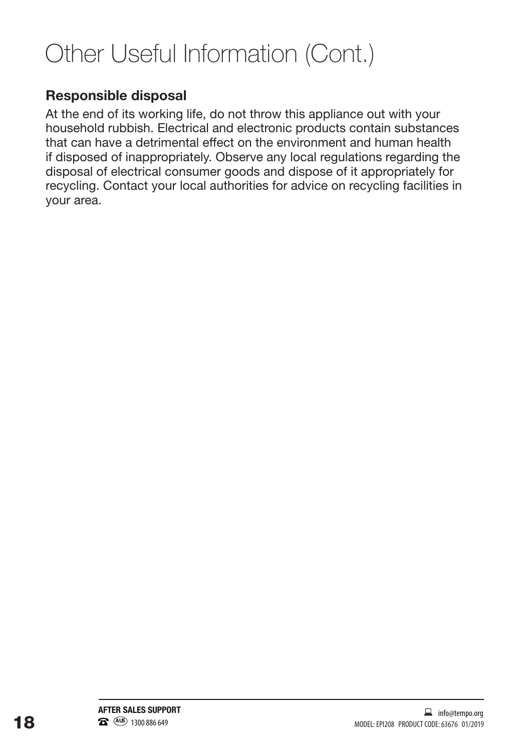# Other Useful Information (Cont.)

### **Responsible disposal**

At the end of its working life, do not throw this appliance out with your household rubbish. Electrical and electronic products contain substances that can have a detrimental effect on the environment and human health if disposed of inappropriately. Observe any local regulations regarding the disposal of electrical consumer goods and dispose of it appropriately for recycling. Contact your local authorities for advice on recycling facilities in your area.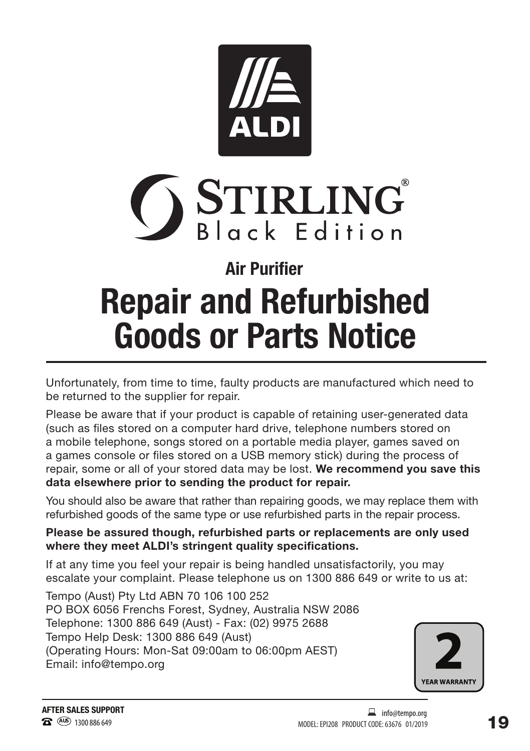



# **Repair and Refurbished Goods or Parts Notice Air Purifier**

Unfortunately, from time to time, faulty products are manufactured which need to be returned to the supplier for repair.

Please be aware that if your product is capable of retaining user-generated data (such as files stored on a computer hard drive, telephone numbers stored on a mobile telephone, songs stored on a portable media player, games saved on a games console or files stored on a USB memory stick) during the process of repair, some or all of your stored data may be lost. We recommend you save this data elsewhere prior to sending the product for repair.

You should also be aware that rather than repairing goods, we may replace them with refurbished goods of the same type or use refurbished parts in the repair process.

Please be assured though, refurbished parts or replacements are only used where they meet ALDI's stringent quality specifications.

If at any time you feel your repair is being handled unsatisfactorily, you may escalate your complaint. Please telephone us on 1300 886 649 or write to us at:

Tempo (Aust) Pty Ltd ABN 70 106 100 252 PO BOX 6056 Frenchs Forest, Sydney, Australia NSW 2086 Telephone: 1300 886 649 (Aust) - Fax: (02) 9975 2688 Tempo Help Desk: 1300 886 649 (Aust) (Operating Hours: Mon-Sat 09:00am to 06:00pm AEST) Email: info@tempo.org